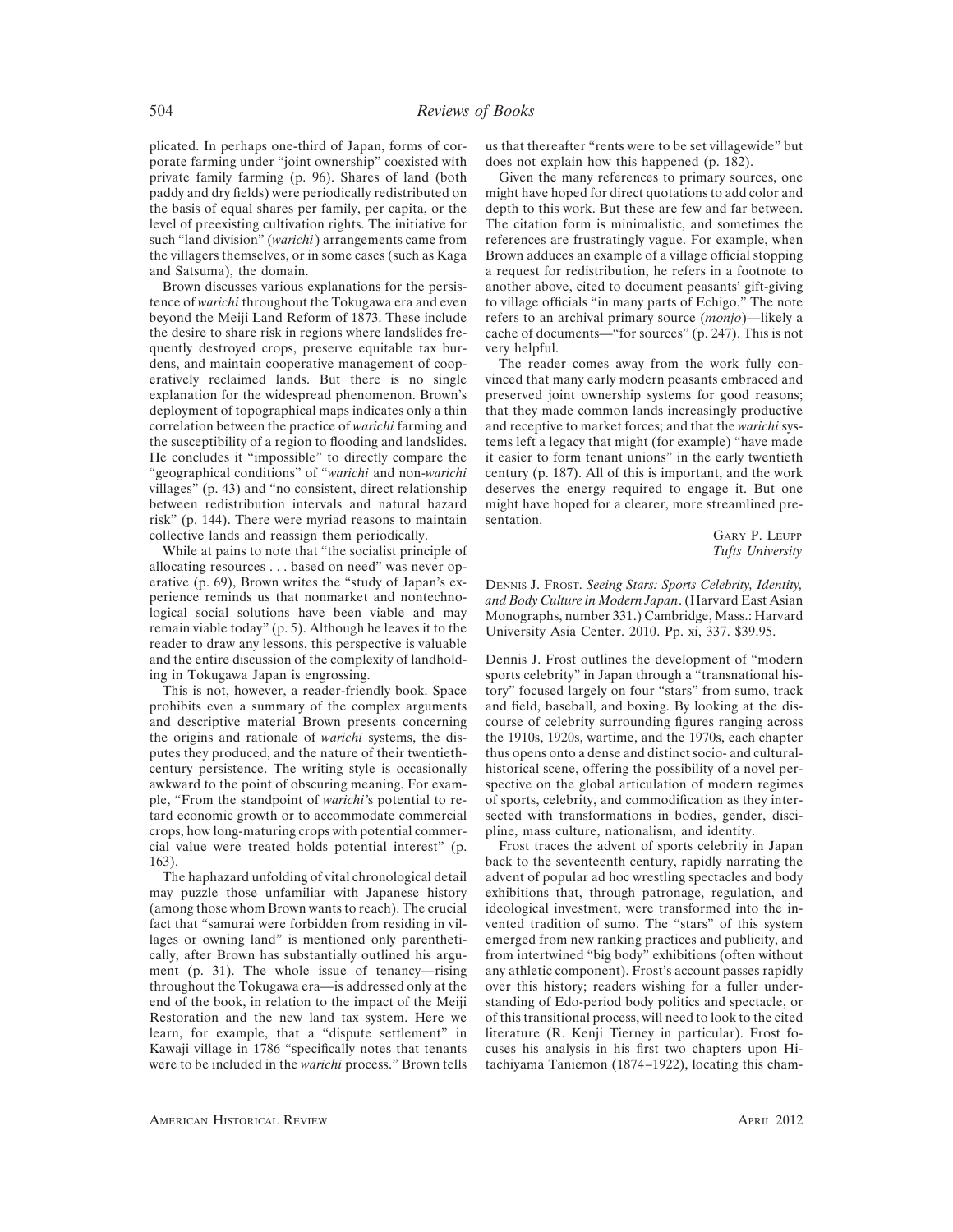plicated. In perhaps one-third of Japan, forms of corporate farming under "joint ownership" coexisted with private family farming (p. 96). Shares of land (both paddy and dry fields) were periodically redistributed on the basis of equal shares per family, per capita, or the level of preexisting cultivation rights. The initiative for such "land division" (*warichi*) arrangements came from the villagers themselves, or in some cases (such as Kaga and Satsuma), the domain.

Brown discusses various explanations for the persistence of *warichi* throughout the Tokugawa era and even beyond the Meiji Land Reform of 1873. These include the desire to share risk in regions where landslides frequently destroyed crops, preserve equitable tax burdens, and maintain cooperative management of cooperatively reclaimed lands. But there is no single explanation for the widespread phenomenon. Brown's deployment of topographical maps indicates only a thin correlation between the practice of *warichi* farming and the susceptibility of a region to flooding and landslides. He concludes it "impossible" to directly compare the "geographical conditions" of "*warichi* and non-*warichi* villages" (p. 43) and "no consistent, direct relationship between redistribution intervals and natural hazard risk" (p. 144). There were myriad reasons to maintain collective lands and reassign them periodically.

While at pains to note that "the socialist principle of allocating resources . . . based on need" was never operative (p. 69), Brown writes the "study of Japan's experience reminds us that nonmarket and nontechnological social solutions have been viable and may remain viable today" (p. 5). Although he leaves it to the reader to draw any lessons, this perspective is valuable and the entire discussion of the complexity of landholding in Tokugawa Japan is engrossing.

This is not, however, a reader-friendly book. Space prohibits even a summary of the complex arguments and descriptive material Brown presents concerning the origins and rationale of *warichi* systems, the disputes they produced, and the nature of their twentiethcentury persistence. The writing style is occasionally awkward to the point of obscuring meaning. For example, "From the standpoint of *warichi'*s potential to retard economic growth or to accommodate commercial crops, how long-maturing crops with potential commercial value were treated holds potential interest" (p. 163).

The haphazard unfolding of vital chronological detail may puzzle those unfamiliar with Japanese history (among those whom Brown wants to reach). The crucial fact that "samurai were forbidden from residing in villages or owning land" is mentioned only parenthetically, after Brown has substantially outlined his argument (p. 31). The whole issue of tenancy—rising throughout the Tokugawa era—is addressed only at the end of the book, in relation to the impact of the Meiji Restoration and the new land tax system. Here we learn, for example, that a "dispute settlement" in Kawaji village in 1786 "specifically notes that tenants were to be included in the *warichi* process." Brown tells

us that thereafter "rents were to be set villagewide" but does not explain how this happened (p. 182).

Given the many references to primary sources, one might have hoped for direct quotations to add color and depth to this work. But these are few and far between. The citation form is minimalistic, and sometimes the references are frustratingly vague. For example, when Brown adduces an example of a village official stopping a request for redistribution, he refers in a footnote to another above, cited to document peasants' gift-giving to village officials "in many parts of Echigo." The note refers to an archival primary source (*monjo*)—likely a cache of documents—"for sources" (p. 247). This is not very helpful.

The reader comes away from the work fully convinced that many early modern peasants embraced and preserved joint ownership systems for good reasons; that they made common lands increasingly productive and receptive to market forces; and that the *warichi* systems left a legacy that might (for example) "have made it easier to form tenant unions" in the early twentieth century (p. 187). All of this is important, and the work deserves the energy required to engage it. But one might have hoped for a clearer, more streamlined presentation.

> GARY P. LEUPP *Tufts University*

DENNIS J. FROST. *Seeing Stars: Sports Celebrity, Identity, and Body Culture in Modern Japan*. (Harvard East Asian Monographs, number 331.) Cambridge, Mass.: Harvard University Asia Center. 2010. Pp. xi, 337. \$39.95.

Dennis J. Frost outlines the development of "modern sports celebrity" in Japan through a "transnational history" focused largely on four "stars" from sumo, track and field, baseball, and boxing. By looking at the discourse of celebrity surrounding figures ranging across the 1910s, 1920s, wartime, and the 1970s, each chapter thus opens onto a dense and distinct socio- and culturalhistorical scene, offering the possibility of a novel perspective on the global articulation of modern regimes of sports, celebrity, and commodification as they intersected with transformations in bodies, gender, discipline, mass culture, nationalism, and identity.

Frost traces the advent of sports celebrity in Japan back to the seventeenth century, rapidly narrating the advent of popular ad hoc wrestling spectacles and body exhibitions that, through patronage, regulation, and ideological investment, were transformed into the invented tradition of sumo. The "stars" of this system emerged from new ranking practices and publicity, and from intertwined "big body" exhibitions (often without any athletic component). Frost's account passes rapidly over this history; readers wishing for a fuller understanding of Edo-period body politics and spectacle, or of this transitional process, will need to look to the cited literature (R. Kenji Tierney in particular). Frost focuses his analysis in his first two chapters upon Hitachiyama Taniemon (1874–1922), locating this cham